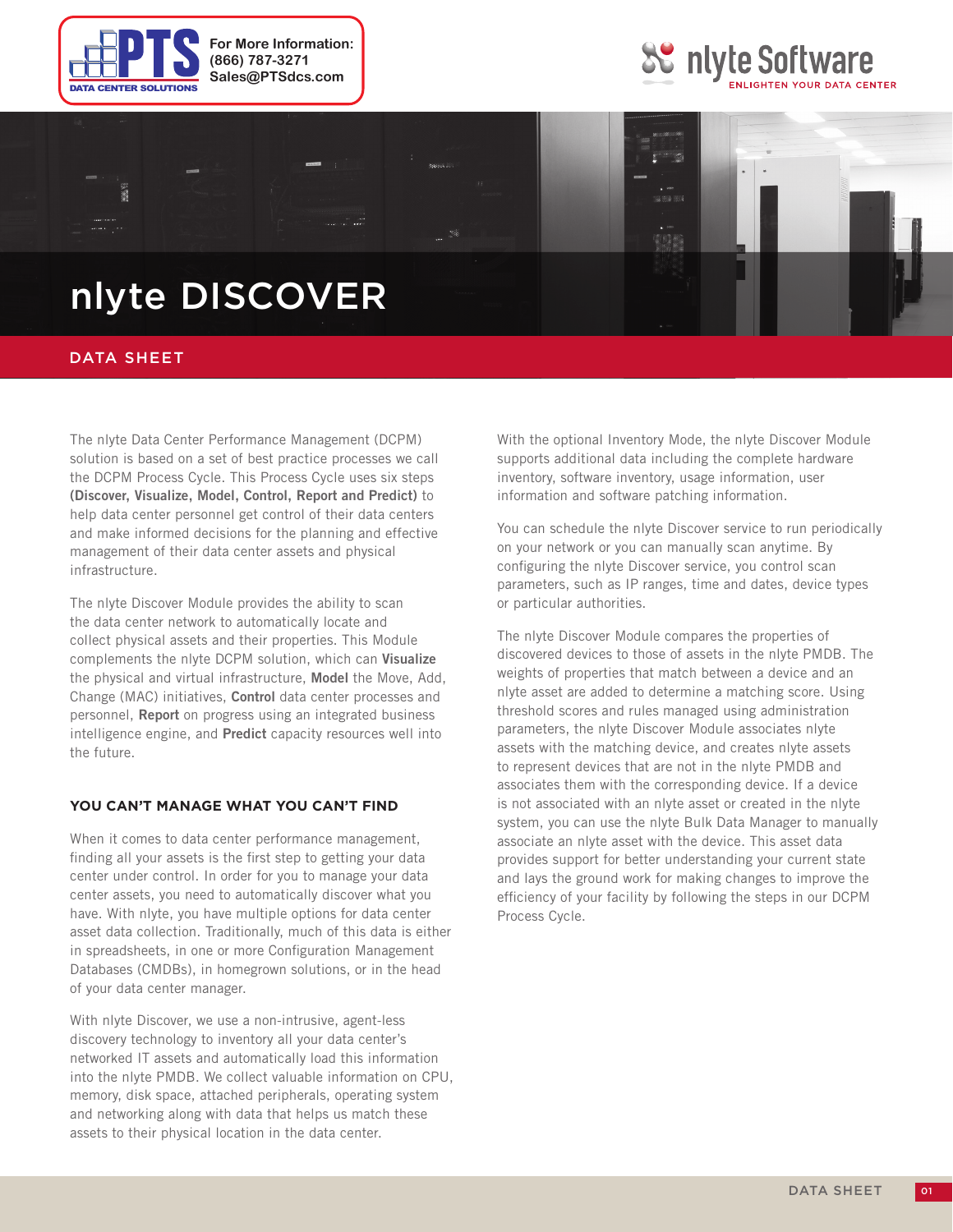





# nlyte DISCOVER

## DATA SHEET

The nlyte Data Center Performance Management (DCPM) solution is based on a set of best practice processes we call the DCPM Process Cycle. This Process Cycle uses six steps **(Discover, Visualize, Model, Control, Report and Predict)** to help data center personnel get control of their data centers and make informed decisions for the planning and effective management of their data center assets and physical infrastructure.

The nlyte Discover Module provides the ability to scan the data center network to automatically locate and collect physical assets and their properties. This Module complements the nlyte DCPM solution, which can **Visualize** the physical and virtual infrastructure, **Model** the Move, Add, Change (MAC) initiatives, **Control** data center processes and personnel, **Report** on progress using an integrated business intelligence engine, and **Predict** capacity resources well into the future.

#### **You Can't Manage What You Can't Find**

When it comes to data center performance management, finding all your assets is the first step to getting your data center under control. In order for you to manage your data center assets, you need to automatically discover what you have. With nlyte, you have multiple options for data center asset data collection. Traditionally, much of this data is either in spreadsheets, in one or more Configuration Management Databases (CMDBs), in homegrown solutions, or in the head of your data center manager.

With nlyte Discover, we use a non-intrusive, agent-less discovery technology to inventory all your data center's networked IT assets and automatically load this information into the nlyte PMDB. We collect valuable information on CPU, memory, disk space, attached peripherals, operating system and networking along with data that helps us match these assets to their physical location in the data center.

With the optional Inventory Mode, the nlyte Discover Module supports additional data including the complete hardware inventory, software inventory, usage information, user information and software patching information.

You can schedule the nlyte Discover service to run periodically on your network or you can manually scan anytime. By configuring the nlyte Discover service, you control scan parameters, such as IP ranges, time and dates, device types or particular authorities.

The nlyte Discover Module compares the properties of discovered devices to those of assets in the nlyte PMDB. The weights of properties that match between a device and an nlyte asset are added to determine a matching score. Using threshold scores and rules managed using administration parameters, the nlyte Discover Module associates nlyte assets with the matching device, and creates nlyte assets to represent devices that are not in the nlyte PMDB and associates them with the corresponding device. If a device is not associated with an nlyte asset or created in the nlyte system, you can use the nlyte Bulk Data Manager to manually associate an nlyte asset with the device. This asset data provides support for better understanding your current state and lays the ground work for making changes to improve the efficiency of your facility by following the steps in our DCPM Process Cycle.

01